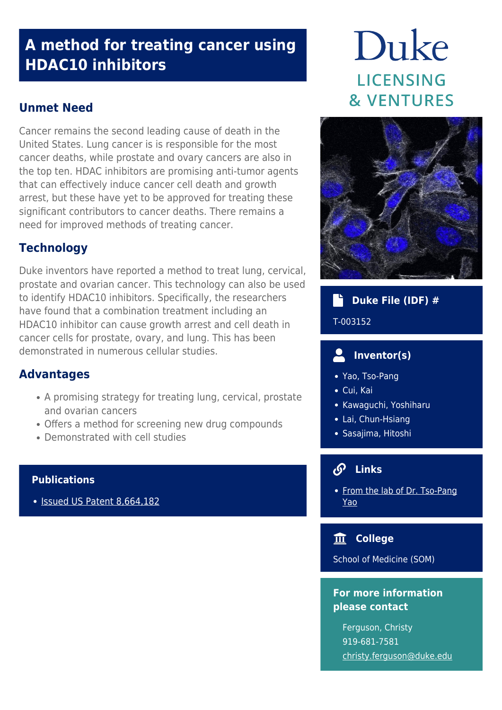## **A method for treating cancer using HDAC10 inhibitors**

## **Unmet Need**

Cancer remains the second leading cause of death in the United States. Lung cancer is is responsible for the most cancer deaths, while prostate and ovary cancers are also in the top ten. HDAC inhibitors are promising anti-tumor agents that can effectively induce cancer cell death and growth arrest, but these have yet to be approved for treating these significant contributors to cancer deaths. There remains a need for improved methods of treating cancer.

## **Technology**

Duke inventors have reported a method to treat lung, cervical, prostate and ovarian cancer. This technology can also be used to identify HDAC10 inhibitors. Specifically, the researchers have found that a combination treatment including an HDAC10 inhibitor can cause growth arrest and cell death in cancer cells for prostate, ovary, and lung. This has been demonstrated in numerous cellular studies.

## **Advantages**

- A promising strategy for treating lung, cervical, prostate and ovarian cancers
- Offers a method for screening new drug compounds
- Demonstrated with cell studies

#### **Publications**

• [Issued US Patent 8,664,182](https://patents.google.com/patent/US8664182B2/en?oq=8%2c664%2c182)

# Duke **LICENSING & VENTURES**



## **Duke File (IDF) #**

#### T-003152

## **Inventor(s)**

- Yao, Tso-Pang
- Cui, Kai
- Kawaguchi, Yoshiharu
- Lai, Chun-Hsiang
- Sasajima, Hitoshi

## **Links**

• [From the lab of Dr. Tso-Pang](https://scholars.duke.edu/person/yao00001) [Yao](https://scholars.duke.edu/person/yao00001)

## **College**

School of Medicine (SOM)

## **For more information please contact**

Ferguson, Christy 919-681-7581 [christy.ferguson@duke.edu](mailto:christy.ferguson@duke.edu)